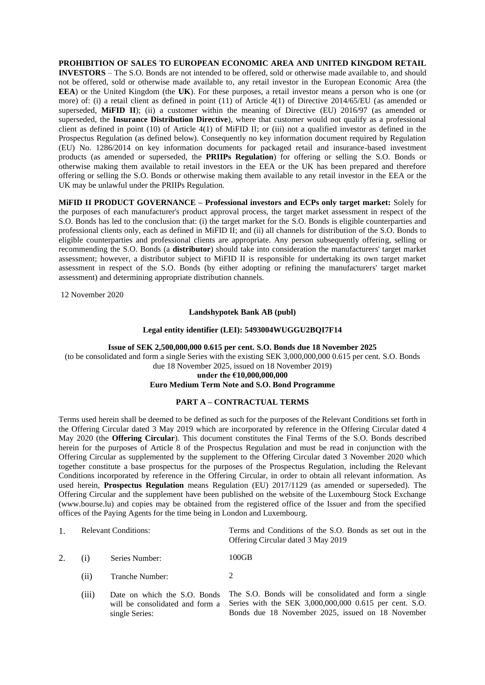**PROHIBITION OF SALES TO EUROPEAN ECONOMIC AREA AND UNITED KINGDOM RETAIL INVESTORS** – The S.O. Bonds are not intended to be offered, sold or otherwise made available to, and should not be offered, sold or otherwise made available to, any retail investor in the European Economic Area (the **EEA**) or the United Kingdom (the **UK**). For these purposes, a retail investor means a person who is one (or more) of: (i) a retail client as defined in point (11) of Article 4(1) of Directive 2014/65/EU (as amended or superseded, MiFID II); (ii) a customer within the meaning of Directive (EU) 2016/97 (as amended or superseded, the **Insurance Distribution Directive**), where that customer would not qualify as a professional client as defined in point (10) of Article 4(1) of MiFID II; or (iii) not a qualified investor as defined in the Prospectus Regulation (as defined below). Consequently no key information document required by Regulation (EU) No. 1286/2014 on key information documents for packaged retail and insurance-based investment products (as amended or superseded, the **PRIIPs Regulation**) for offering or selling the S.O. Bonds or otherwise making them available to retail investors in the EEA or the UK has been prepared and therefore offering or selling the S.O. Bonds or otherwise making them available to any retail investor in the EEA or the UK may be unlawful under the PRIIPs Regulation.

**MiFID II PRODUCT GOVERNANCE – Professional investors and ECPs only target market:** Solely for the purposes of each manufacturer's product approval process, the target market assessment in respect of the S.O. Bonds has led to the conclusion that: (i) the target market for the S.O. Bonds is eligible counterparties and professional clients only, each as defined in MiFID II; and (ii) all channels for distribution of the S.O. Bonds to eligible counterparties and professional clients are appropriate. Any person subsequently offering, selling or recommending the S.O. Bonds (a **distributor**) should take into consideration the manufacturers' target market assessment; however, a distributor subject to MiFID II is responsible for undertaking its own target market assessment in respect of the S.O. Bonds (by either adopting or refining the manufacturers' target market assessment) and determining appropriate distribution channels.

12 November 2020

### **Landshypotek Bank AB (publ)**

### **Legal entity identifier (LEI): 5493004WUGGU2BQI7F14**

**Issue of SEK 2,500,000,000 0.615 per cent. S.O. Bonds due 18 November 2025** (to be consolidated and form a single Series with the existing SEK 3,000,000,000 0.615 per cent. S.O. Bonds due 18 November 2025, issued on 18 November 2019) **under the €10,000,000,000**

# **Euro Medium Term Note and S.O. Bond Programme**

### **PART A – CONTRACTUAL TERMS**

Terms used herein shall be deemed to be defined as such for the purposes of the Relevant Conditions set forth in the Offering Circular dated 3 May 2019 which are incorporated by reference in the Offering Circular dated 4 May 2020 (the **Offering Circular**). This document constitutes the Final Terms of the S.O. Bonds described herein for the purposes of Article 8 of the Prospectus Regulation and must be read in conjunction with the Offering Circular as supplemented by the supplement to the Offering Circular dated 3 November 2020 which together constitute a base prospectus for the purposes of the Prospectus Regulation, including the Relevant Conditions incorporated by reference in the Offering Circular, in order to obtain all relevant information. As used herein, **Prospectus Regulation** means Regulation (EU) 2017/1129 (as amended or superseded). The Offering Circular and the supplement have been published on the website of the Luxembourg Stock Exchange (www.bourse.lu) and copies may be obtained from the registered office of the Issuer and from the specified offices of the Paying Agents for the time being in London and Luxembourg.

|    | <b>Relevant Conditions:</b> |                                                                                   | Terms and Conditions of the S.O. Bonds as set out in the<br>Offering Circular dated 3 May 2019                                                                       |
|----|-----------------------------|-----------------------------------------------------------------------------------|----------------------------------------------------------------------------------------------------------------------------------------------------------------------|
| 2. |                             | Series Number:                                                                    | 100GB                                                                                                                                                                |
|    | (i)                         | Tranche Number:                                                                   | $\mathcal{L}$                                                                                                                                                        |
|    | (iii)                       | Date on which the S.O. Bonds<br>will be consolidated and form a<br>single Series: | The S.O. Bonds will be consolidated and form a single<br>Series with the SEK 3,000,000,000 0.615 per cent. S.O.<br>Bonds due 18 November 2025, issued on 18 November |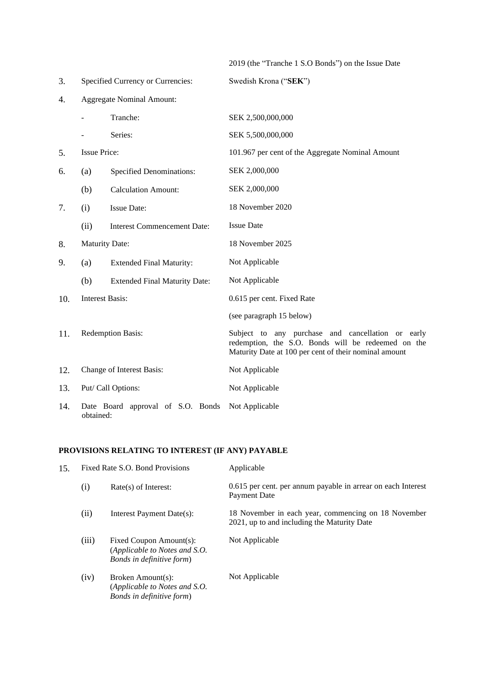| 2019 (the "Tranche 1 S.O Bonds") on the Issue Date |  |  |
|----------------------------------------------------|--|--|
|----------------------------------------------------|--|--|

 $S$ wedish Krona ("**SEK**")

| Specified Currency or Currencies:<br>3. |
|-----------------------------------------|
|-----------------------------------------|

| 4. | <b>Aggregate Nominal Amount:</b> |
|----|----------------------------------|
|----|----------------------------------|

|     |                                                | Tranche:                             | SEK 2,500,000,000                                                                                                                                                |
|-----|------------------------------------------------|--------------------------------------|------------------------------------------------------------------------------------------------------------------------------------------------------------------|
|     |                                                | Series:                              | SEK 5,500,000,000                                                                                                                                                |
| 5.  | <b>Issue Price:</b>                            |                                      | 101.967 per cent of the Aggregate Nominal Amount                                                                                                                 |
| 6.  | (a)                                            | <b>Specified Denominations:</b>      | SEK 2,000,000                                                                                                                                                    |
|     | (b)                                            | <b>Calculation Amount:</b>           | SEK 2,000,000                                                                                                                                                    |
| 7.  | (i)                                            | <b>Issue Date:</b>                   | 18 November 2020                                                                                                                                                 |
|     | (ii)                                           | <b>Interest Commencement Date:</b>   | <b>Issue Date</b>                                                                                                                                                |
| 8.  | <b>Maturity Date:</b>                          |                                      | 18 November 2025                                                                                                                                                 |
| 9.  | (a)                                            | <b>Extended Final Maturity:</b>      | Not Applicable                                                                                                                                                   |
|     | (b)                                            | <b>Extended Final Maturity Date:</b> | Not Applicable                                                                                                                                                   |
| 10. | <b>Interest Basis:</b>                         |                                      | 0.615 per cent. Fixed Rate                                                                                                                                       |
|     |                                                |                                      | (see paragraph 15 below)                                                                                                                                         |
| 11. | Redemption Basis:                              |                                      | Subject to any purchase and cancellation or early<br>redemption, the S.O. Bonds will be redeemed on the<br>Maturity Date at 100 per cent of their nominal amount |
| 12. | Change of Interest Basis:                      |                                      | Not Applicable                                                                                                                                                   |
| 13. | Put/ Call Options:                             |                                      | Not Applicable                                                                                                                                                   |
| 14. | Date Board approval of S.O. Bonds<br>obtained: |                                      | Not Applicable                                                                                                                                                   |

# **PROVISIONS RELATING TO INTEREST (IF ANY) PAYABLE**

| 15. | Fixed Rate S.O. Bond Provisions |                                                                                       | Applicable                                                                                         |  |
|-----|---------------------------------|---------------------------------------------------------------------------------------|----------------------------------------------------------------------------------------------------|--|
|     | (i)                             | $Rate(s)$ of Interest:                                                                | 0.615 per cent. per annum payable in arrear on each Interest<br><b>Payment Date</b>                |  |
|     | (ii)                            | Interest Payment Date(s):                                                             | 18 November in each year, commencing on 18 November<br>2021, up to and including the Maturity Date |  |
|     | (iii)                           | Fixed Coupon Amount(s):<br>(Applicable to Notes and S.O.<br>Bonds in definitive form) | Not Applicable                                                                                     |  |
|     | (iv)                            | Broken Amount(s):<br>(Applicable to Notes and S.O.<br>Bonds in definitive form)       | Not Applicable                                                                                     |  |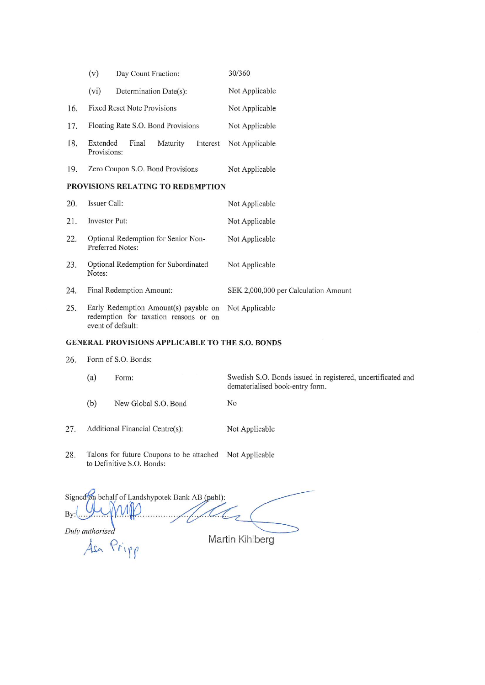|                                                        | (v)                                                                                                 | Day Count Fraction:                      |          |                | 30/360                               |
|--------------------------------------------------------|-----------------------------------------------------------------------------------------------------|------------------------------------------|----------|----------------|--------------------------------------|
|                                                        | (vi)                                                                                                | Determination Date(s):                   |          |                | Not Applicable                       |
| 16.                                                    |                                                                                                     | Fixed Reset Note Provisions              |          |                | Not Applicable                       |
| 17.                                                    |                                                                                                     | Floating Rate S.O. Bond Provisions       |          |                | Not Applicable                       |
| 18.                                                    | Extended<br>Provisions:                                                                             | Final                                    | Maturity | Interest       | Not Applicable                       |
| 19.                                                    |                                                                                                     | Zero Coupon S.O. Bond Provisions         |          |                | Not Applicable                       |
|                                                        |                                                                                                     | <b>PROVISIONS RELATING TO REDEMPTION</b> |          |                |                                      |
| 20.                                                    | Issuer Call:                                                                                        |                                          |          |                | Not Applicable                       |
| 21.                                                    | Investor Put:                                                                                       |                                          |          |                | Not Applicable                       |
| 22.                                                    | Optional Redemption for Senior Non-<br>Preferred Notes:                                             |                                          |          |                | Not Applicable                       |
| 23.                                                    | Optional Redemption for Subordinated<br>Notes:                                                      |                                          |          |                | Not Applicable                       |
| 24.                                                    |                                                                                                     | Final Redemption Amount:                 |          |                | SEK 2,000,000 per Calculation Amount |
| 25.                                                    | Early Redemption Amount(s) payable on<br>redemption for taxation reasons or on<br>event of default: |                                          |          | Not Applicable |                                      |
| <b>GENERAL PROVISIONS APPLICABLE TO THE S.O. BONDS</b> |                                                                                                     |                                          |          |                |                                      |

- Form of S.O. Bonds: 26.
	- $(a)$ Swedish S.O. Bonds issued in registered, uncertificated and Form: dematerialised book-entry form.
	- $(b)$ New Global S.O. Bond N<sub>o</sub>
- Additional Financial Centre(s): 27. Not Applicable
- Talons for future Coupons to be attached Not Applicable 28. to Definitive S.O. Bonds:

Signed on behalf of Landshypotek Bank AB (publ): **By**  $\mathcal{U}$ Duly authorised Martin Kihlberg Asa Pripp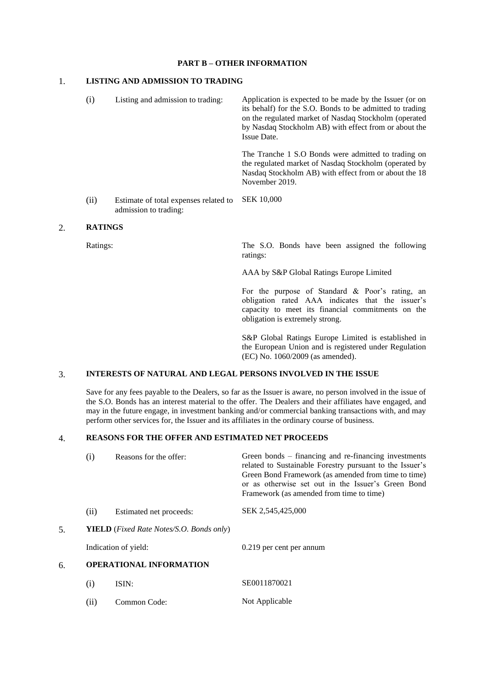### **PART B – OTHER INFORMATION**

# 1. **LISTING AND ADMISSION TO TRADING**

| (i)  | Listing and admission to trading:                              | Application is expected to be made by the Issuer (or on<br>its behalf) for the S.O. Bonds to be admitted to trading<br>on the regulated market of Nasdaq Stockholm (operated<br>by Nasdaq Stockholm AB) with effect from or about the<br>Issue Date. |
|------|----------------------------------------------------------------|------------------------------------------------------------------------------------------------------------------------------------------------------------------------------------------------------------------------------------------------------|
|      |                                                                | The Tranche 1 S.O Bonds were admitted to trading on<br>the regulated market of Nasdaq Stockholm (operated by<br>Nasdaq Stockholm AB) with effect from or about the 18<br>November 2019.                                                              |
| (ii) | Estimate of total expenses related to<br>admission to trading: | <b>SEK 10,000</b>                                                                                                                                                                                                                                    |

# 2. **RATINGS**

Ratings: The S.O. Bonds have been assigned the following ratings:

AAA by S&P Global Ratings Europe Limited

For the purpose of Standard & Poor's rating, an obligation rated AAA indicates that the issuer's capacity to meet its financial commitments on the obligation is extremely strong.

S&P Global Ratings Europe Limited is established in the European Union and is registered under Regulation (EC) No. 1060/2009 (as amended).

# 3. **INTERESTS OF NATURAL AND LEGAL PERSONS INVOLVED IN THE ISSUE**

Save for any fees payable to the Dealers, so far as the Issuer is aware, no person involved in the issue of the S.O. Bonds has an interest material to the offer. The Dealers and their affiliates have engaged, and may in the future engage, in investment banking and/or commercial banking transactions with, and may perform other services for, the Issuer and its affiliates in the ordinary course of business.

# 4. **REASONS FOR THE OFFER AND ESTIMATED NET PROCEEDS**

|    | $\rm(i)$ | Reasons for the offer:                                   | Green bonds – financing and re-financing investments<br>related to Sustainable Forestry pursuant to the Issuer's<br>Green Bond Framework (as amended from time to time)<br>or as otherwise set out in the Issuer's Green Bond<br>Framework (as amended from time to time) |
|----|----------|----------------------------------------------------------|---------------------------------------------------------------------------------------------------------------------------------------------------------------------------------------------------------------------------------------------------------------------------|
|    | (ii)     | Estimated net proceeds:                                  | SEK 2,545,425,000                                                                                                                                                                                                                                                         |
| 5. |          | <b>YIELD</b> ( <i>Fixed Rate Notes/S.O. Bonds only</i> ) |                                                                                                                                                                                                                                                                           |
|    |          | Indication of yield:                                     | 0.219 per cent per annum                                                                                                                                                                                                                                                  |
| б. |          | <b>OPERATIONAL INFORMATION</b>                           |                                                                                                                                                                                                                                                                           |
|    | (i)      | ISIN:                                                    | SE0011870021                                                                                                                                                                                                                                                              |
|    |          |                                                          |                                                                                                                                                                                                                                                                           |

(ii) Common Code: Not Applicable